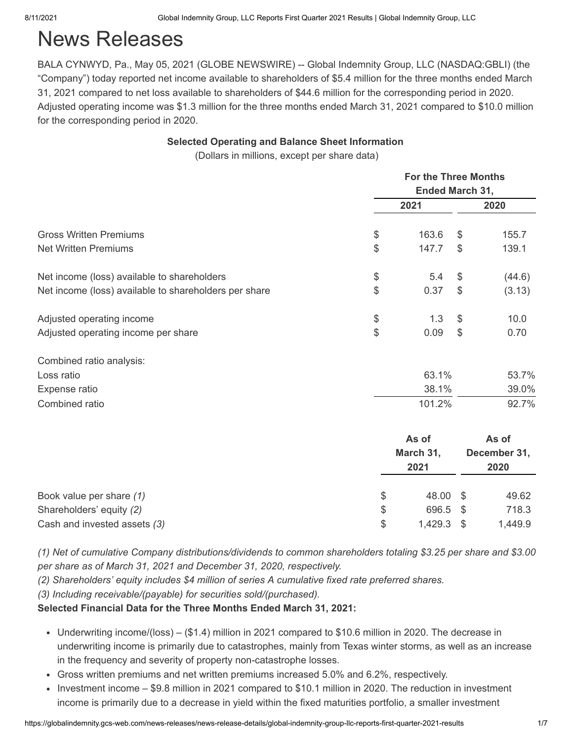# News Releases

BALA CYNWYD, Pa., May 05, 2021 (GLOBE NEWSWIRE) -- Global Indemnity Group, LLC (NASDAQ:GBLI) (the "Company") today reported net income available to shareholders of \$5.4 million for the three months ended March 31, 2021 compared to net loss available to shareholders of \$44.6 million for the corresponding period in 2020. Adjusted operating income was \$1.3 million for the three months ended March 31, 2021 compared to \$10.0 million for the corresponding period in 2020.

### **Selected Operating and Balance Sheet Information**

(Dollars in millions, except per share data)

|                                                       | <b>For the Three Months</b> |       |                      |  |  |  |
|-------------------------------------------------------|-----------------------------|-------|----------------------|--|--|--|
|                                                       | Ended March 31,             |       |                      |  |  |  |
|                                                       | 2021                        |       | 2020                 |  |  |  |
| <b>Gross Written Premiums</b>                         | \$<br>163.6                 | \$    | 155.7                |  |  |  |
| <b>Net Written Premiums</b>                           | \$<br>147.7                 | \$    | 139.1                |  |  |  |
| Net income (loss) available to shareholders           | \$<br>5.4                   | \$    | (44.6)               |  |  |  |
| Net income (loss) available to shareholders per share | \$<br>0.37                  | $\$\$ | (3.13)               |  |  |  |
| Adjusted operating income                             | \$<br>1.3                   | \$    | 10.0                 |  |  |  |
| Adjusted operating income per share                   | \$<br>0.09                  | \$    | 0.70                 |  |  |  |
| Combined ratio analysis:                              |                             |       |                      |  |  |  |
| Loss ratio                                            | 63.1%                       |       | 53.7%                |  |  |  |
| Expense ratio                                         | 38.1%                       |       | 39.0%                |  |  |  |
| Combined ratio                                        | 101.2%                      |       | 92.7%                |  |  |  |
|                                                       | As of                       |       | As of                |  |  |  |
|                                                       | March 31,<br>2021           |       | December 31,<br>2020 |  |  |  |
| Book value per share (1)                              | \$<br>48.00                 | \$    | 49.62                |  |  |  |
| Shareholders' equity (2)                              | \$<br>696.5                 | \$    | 718.3                |  |  |  |
| Cash and invested assets (3)                          | \$<br>1,429.3               | \$    | 1,449.9              |  |  |  |

*(1) Net of cumulative Company distributions/dividends to common shareholders totaling \$3.25 per share and \$3.00 per share as of March 31, 2021 and December 31, 2020, respectively.*

*(2) Shareholders' equity includes \$4 million of series A cumulative fixed rate preferred shares.*

*(3) Including receivable/(payable) for securities sold/(purchased).*

#### **Selected Financial Data for the Three Months Ended March 31, 2021:**

- Underwriting income/(loss)  $($1.4)$  million in 2021 compared to  $$10.6$  million in 2020. The decrease in underwriting income is primarily due to catastrophes, mainly from Texas winter storms, as well as an increase in the frequency and severity of property non-catastrophe losses.
- Gross written premiums and net written premiums increased 5.0% and 6.2%, respectively.
- Investment income \$9.8 million in 2021 compared to \$10.1 million in 2020. The reduction in investment income is primarily due to a decrease in yield within the fixed maturities portfolio, a smaller investment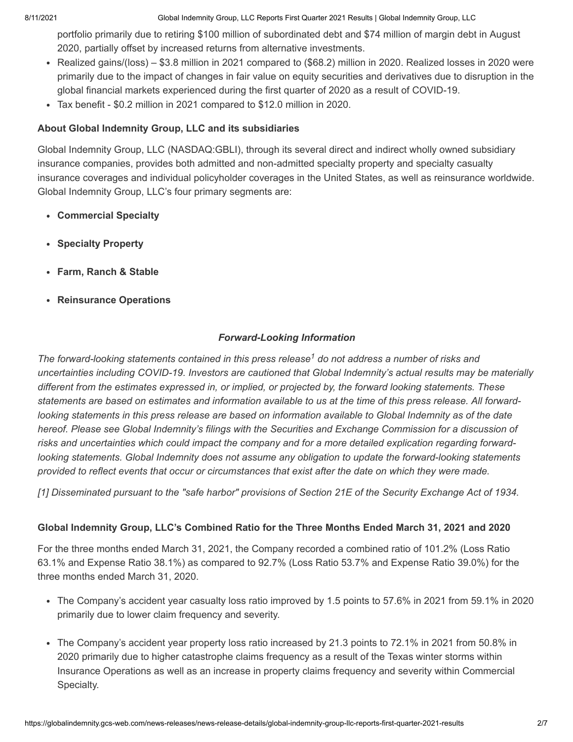8/11/2021 Global Indemnity Group, LLC Reports First Quarter 2021 Results | Global Indemnity Group, LLC

portfolio primarily due to retiring \$100 million of subordinated debt and \$74 million of margin debt in August 2020, partially offset by increased returns from alternative investments.

- Realized gains/(loss) \$3.8 million in 2021 compared to (\$68.2) million in 2020. Realized losses in 2020 were primarily due to the impact of changes in fair value on equity securities and derivatives due to disruption in the global financial markets experienced during the first quarter of 2020 as a result of COVID-19.
- Tax benefit \$0.2 million in 2021 compared to \$12.0 million in 2020.

### **About Global Indemnity Group, LLC and its subsidiaries**

Global Indemnity Group, LLC (NASDAQ:GBLI), through its several direct and indirect wholly owned subsidiary insurance companies, provides both admitted and non-admitted specialty property and specialty casualty insurance coverages and individual policyholder coverages in the United States, as well as reinsurance worldwide. Global Indemnity Group, LLC's four primary segments are:

- **Commercial Specialty**
- **Specialty Property**
- **Farm, Ranch & Stable**
- **Reinsurance Operations**

## *Forward-Looking Information*

The forward-looking statements contained in this press release<sup>1</sup> do not address a number of risks and *uncertainties including COVID-19. Investors are cautioned that Global Indemnity's actual results may be materially different from the estimates expressed in, or implied, or projected by, the forward looking statements. These statements are based on estimates and information available to us at the time of this press release. All forwardlooking statements in this press release are based on information available to Global Indemnity as of the date hereof. Please see Global Indemnity's filings with the Securities and Exchange Commission for a discussion of risks and uncertainties which could impact the company and for a more detailed explication regarding forwardlooking statements. Global Indemnity does not assume any obligation to update the forward-looking statements provided to reflect events that occur or circumstances that exist after the date on which they were made.*

*[1] Disseminated pursuant to the "safe harbor" provisions of Section 21E of the Security Exchange Act of 1934.*

### **Global Indemnity Group, LLC's Combined Ratio for the Three Months Ended March 31, 2021 and 2020**

For the three months ended March 31, 2021, the Company recorded a combined ratio of 101.2% (Loss Ratio 63.1% and Expense Ratio 38.1%) as compared to 92.7% (Loss Ratio 53.7% and Expense Ratio 39.0%) for the three months ended March 31, 2020.

- The Company's accident year casualty loss ratio improved by 1.5 points to 57.6% in 2021 from 59.1% in 2020 primarily due to lower claim frequency and severity.
- The Company's accident year property loss ratio increased by 21.3 points to 72.1% in 2021 from 50.8% in 2020 primarily due to higher catastrophe claims frequency as a result of the Texas winter storms within Insurance Operations as well as an increase in property claims frequency and severity within Commercial Specialty.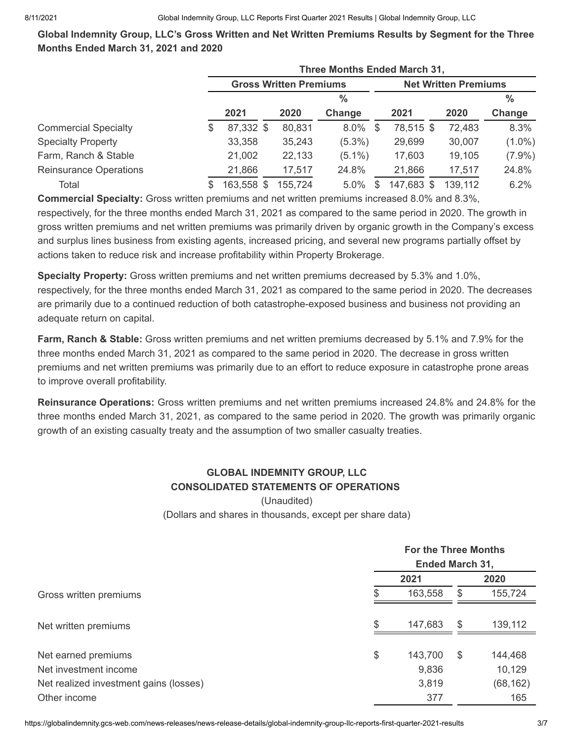**Global Indemnity Group, LLC's Gross Written and Net Written Premiums Results by Segment for the Three Months Ended March 31, 2021 and 2020**

|                               |    | <b>Three Months Ended March 31,</b> |         |               |    |                             |         |               |
|-------------------------------|----|-------------------------------------|---------|---------------|----|-----------------------------|---------|---------------|
|                               |    | <b>Gross Written Premiums</b>       |         |               |    | <b>Net Written Premiums</b> |         |               |
|                               |    |                                     |         | $\frac{0}{0}$ |    |                             |         | $\frac{0}{0}$ |
|                               |    | 2021                                | 2020    | Change        |    | 2021                        | 2020    | Change        |
| <b>Commercial Specialty</b>   | \$ | 87,332 \$                           | 80,831  | $8.0\%$       | -S | 78,515 \$                   | 72,483  | 8.3%          |
| <b>Specialty Property</b>     |    | 33,358                              | 35,243  | $(5.3\%)$     |    | 29,699                      | 30,007  | $(1.0\%)$     |
| Farm, Ranch & Stable          |    | 21,002                              | 22,133  | $(5.1\%)$     |    | 17,603                      | 19,105  | $(7.9\%)$     |
| <b>Reinsurance Operations</b> |    | 21,866                              | 17,517  | 24.8%         |    | 21,866                      | 17,517  | 24.8%         |
| Total                         | S  | 163,558 \$                          | 155,724 | 5.0%          | S  | 147,683 \$                  | 139,112 | 6.2%          |

**Commercial Specialty:** Gross written premiums and net written premiums increased 8.0% and 8.3%, respectively, for the three months ended March 31, 2021 as compared to the same period in 2020. The growth in gross written premiums and net written premiums was primarily driven by organic growth in the Company's excess and surplus lines business from existing agents, increased pricing, and several new programs partially offset by actions taken to reduce risk and increase profitability within Property Brokerage.

**Specialty Property:** Gross written premiums and net written premiums decreased by 5.3% and 1.0%, respectively, for the three months ended March 31, 2021 as compared to the same period in 2020. The decreases are primarily due to a continued reduction of both catastrophe-exposed business and business not providing an adequate return on capital.

**Farm, Ranch & Stable:** Gross written premiums and net written premiums decreased by 5.1% and 7.9% for the three months ended March 31, 2021 as compared to the same period in 2020. The decrease in gross written premiums and net written premiums was primarily due to an effort to reduce exposure in catastrophe prone areas to improve overall profitability.

**Reinsurance Operations:** Gross written premiums and net written premiums increased 24.8% and 24.8% for the three months ended March 31, 2021, as compared to the same period in 2020. The growth was primarily organic growth of an existing casualty treaty and the assumption of two smaller casualty treaties.

# **GLOBAL INDEMNITY GROUP, LLC CONSOLIDATED STATEMENTS OF OPERATIONS**

(Unaudited)

(Dollars and shares in thousands, except per share data)

|                                        | <b>For the Three Months</b><br><b>Ended March 31,</b> |         |    |           |
|----------------------------------------|-------------------------------------------------------|---------|----|-----------|
|                                        |                                                       | 2021    |    | 2020      |
| Gross written premiums                 | £.                                                    | 163,558 | S  | 155,724   |
| Net written premiums                   | \$                                                    | 147,683 | \$ | 139,112   |
| Net earned premiums                    | \$                                                    | 143,700 | \$ | 144,468   |
| Net investment income                  |                                                       | 9,836   |    | 10,129    |
| Net realized investment gains (losses) |                                                       | 3,819   |    | (68, 162) |
| Other income                           |                                                       | 377     |    | 165       |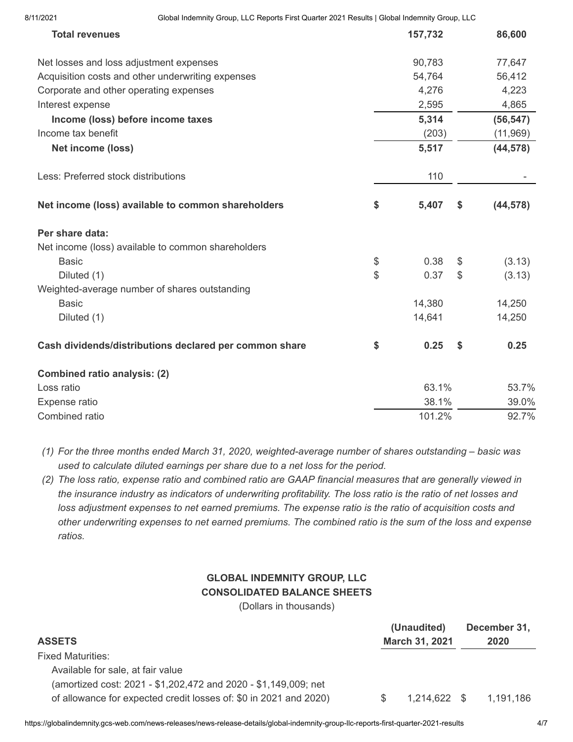| <b>Total revenues</b>                                  | 157,732     | 86,600          |
|--------------------------------------------------------|-------------|-----------------|
| Net losses and loss adjustment expenses                | 90,783      | 77,647          |
| Acquisition costs and other underwriting expenses      | 54,764      | 56,412          |
| Corporate and other operating expenses                 | 4,276       | 4,223           |
| Interest expense                                       | 2,595       | 4,865           |
| Income (loss) before income taxes                      | 5,314       | (56, 547)       |
| Income tax benefit                                     | (203)       | (11, 969)       |
| Net income (loss)                                      | 5,517       | (44, 578)       |
| Less: Preferred stock distributions                    | 110         |                 |
| Net income (loss) available to common shareholders     | \$<br>5,407 | \$<br>(44, 578) |
| Per share data:                                        |             |                 |
| Net income (loss) available to common shareholders     |             |                 |
| <b>Basic</b>                                           | \$<br>0.38  | \$<br>(3.13)    |
| Diluted (1)                                            | \$<br>0.37  | \$<br>(3.13)    |
| Weighted-average number of shares outstanding          |             |                 |
| <b>Basic</b>                                           | 14,380      | 14,250          |
| Diluted (1)                                            | 14,641      | 14,250          |
| Cash dividends/distributions declared per common share | \$<br>0.25  | \$<br>0.25      |
| <b>Combined ratio analysis: (2)</b>                    |             |                 |
| Loss ratio                                             | 63.1%       | 53.7%           |
| Expense ratio                                          | 38.1%       | 39.0%           |
| Combined ratio                                         | 101.2%      | 92.7%           |

*(1) For the three months ended March 31, 2020, weighted-average number of shares outstanding – basic was used to calculate diluted earnings per share due to a net loss for the period.*

*(2) The loss ratio, expense ratio and combined ratio are GAAP financial measures that are generally viewed in the insurance industry as indicators of underwriting profitability. The loss ratio is the ratio of net losses and loss adjustment expenses to net earned premiums. The expense ratio is the ratio of acquisition costs and other underwriting expenses to net earned premiums. The combined ratio is the sum of the loss and expense ratios.*

# **GLOBAL INDEMNITY GROUP, LLC CONSOLIDATED BALANCE SHEETS**

(Dollars in thousands)

| <b>ASSETS</b>                                                     | (Unaudited)<br>March 31, 2021 |                | December 31,<br>2020 |
|-------------------------------------------------------------------|-------------------------------|----------------|----------------------|
| <b>Fixed Maturities:</b>                                          |                               |                |                      |
| Available for sale, at fair value                                 |                               |                |                      |
| (amortized cost: 2021 - \$1,202,472 and 2020 - \$1,149,009; net   |                               |                |                      |
| of allowance for expected credit losses of: \$0 in 2021 and 2020) | S.                            | $1,214,622$ \$ | 1.191.186            |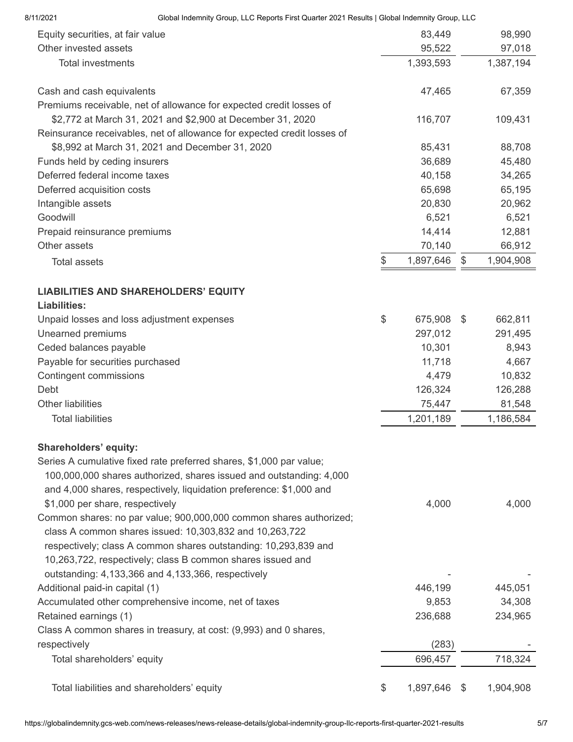| 8/11/2021                  | Global Indemnity Group, LLC Reports First Quarter 2021 Results   Global Indemnity Group, LLC                                                                                                                                                                                                      |                    |                 |
|----------------------------|---------------------------------------------------------------------------------------------------------------------------------------------------------------------------------------------------------------------------------------------------------------------------------------------------|--------------------|-----------------|
|                            | Equity securities, at fair value                                                                                                                                                                                                                                                                  | 83,449             | 98,990          |
| Other invested assets      |                                                                                                                                                                                                                                                                                                   | 95,522             | 97,018          |
|                            | <b>Total investments</b>                                                                                                                                                                                                                                                                          | 1,393,593          | 1,387,194       |
|                            | Cash and cash equivalents                                                                                                                                                                                                                                                                         | 47,465             | 67,359          |
|                            | Premiums receivable, net of allowance for expected credit losses of                                                                                                                                                                                                                               |                    |                 |
|                            | \$2,772 at March 31, 2021 and \$2,900 at December 31, 2020                                                                                                                                                                                                                                        | 116,707            | 109,431         |
|                            | Reinsurance receivables, net of allowance for expected credit losses of                                                                                                                                                                                                                           |                    |                 |
|                            | \$8,992 at March 31, 2021 and December 31, 2020                                                                                                                                                                                                                                                   | 85,431             | 88,708          |
|                            | Funds held by ceding insurers                                                                                                                                                                                                                                                                     | 36,689             | 45,480          |
|                            | Deferred federal income taxes                                                                                                                                                                                                                                                                     | 40,158             | 34,265          |
| Deferred acquisition costs |                                                                                                                                                                                                                                                                                                   | 65,698             | 65,195          |
| Intangible assets          |                                                                                                                                                                                                                                                                                                   | 20,830             | 20,962          |
| Goodwill                   |                                                                                                                                                                                                                                                                                                   | 6,521              | 6,521           |
|                            | Prepaid reinsurance premiums                                                                                                                                                                                                                                                                      | 14,414             | 12,881          |
| Other assets               |                                                                                                                                                                                                                                                                                                   | 70,140             | 66,912          |
| <b>Total assets</b>        |                                                                                                                                                                                                                                                                                                   | \$<br>1,897,646    | \$<br>1,904,908 |
| <b>Liabilities:</b>        | <b>LIABILITIES AND SHAREHOLDERS' EQUITY</b>                                                                                                                                                                                                                                                       |                    |                 |
|                            | Unpaid losses and loss adjustment expenses                                                                                                                                                                                                                                                        | \$<br>675,908 \$   | 662,811         |
| Unearned premiums          |                                                                                                                                                                                                                                                                                                   | 297,012            | 291,495         |
| Ceded balances payable     |                                                                                                                                                                                                                                                                                                   | 10,301             | 8,943           |
|                            | Payable for securities purchased                                                                                                                                                                                                                                                                  | 11,718             | 4,667           |
| Contingent commissions     |                                                                                                                                                                                                                                                                                                   | 4,479              | 10,832          |
| Debt                       |                                                                                                                                                                                                                                                                                                   | 126,324            | 126,288         |
| Other liabilities          |                                                                                                                                                                                                                                                                                                   | 75,447             | 81,548          |
| <b>Total liabilities</b>   |                                                                                                                                                                                                                                                                                                   | 1,201,189          | 1,186,584       |
| Shareholders' equity:      |                                                                                                                                                                                                                                                                                                   |                    |                 |
|                            | Series A cumulative fixed rate preferred shares, \$1,000 par value;<br>100,000,000 shares authorized, shares issued and outstanding: 4,000<br>and 4,000 shares, respectively, liquidation preference: \$1,000 and                                                                                 |                    |                 |
|                            | \$1,000 per share, respectively<br>Common shares: no par value; 900,000,000 common shares authorized;<br>class A common shares issued: 10,303,832 and 10,263,722<br>respectively; class A common shares outstanding: 10,293,839 and<br>10,263,722, respectively; class B common shares issued and | 4,000              | 4,000           |
|                            | outstanding: 4,133,366 and 4,133,366, respectively                                                                                                                                                                                                                                                |                    |                 |
|                            | Additional paid-in capital (1)                                                                                                                                                                                                                                                                    | 446,199            | 445,051         |
|                            | Accumulated other comprehensive income, net of taxes                                                                                                                                                                                                                                              | 9,853              | 34,308          |
| Retained earnings (1)      |                                                                                                                                                                                                                                                                                                   | 236,688            | 234,965         |
|                            | Class A common shares in treasury, at cost: (9,993) and 0 shares,                                                                                                                                                                                                                                 |                    |                 |
| respectively               |                                                                                                                                                                                                                                                                                                   | (283)              |                 |
|                            | Total shareholders' equity                                                                                                                                                                                                                                                                        | 696,457            | 718,324         |
|                            | Total liabilities and shareholders' equity                                                                                                                                                                                                                                                        | \$<br>1,897,646 \$ | 1,904,908       |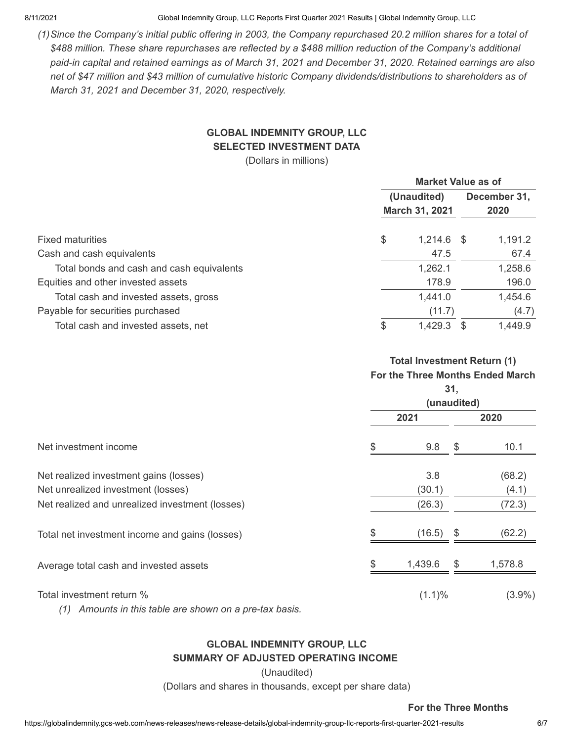8/11/2021 Global Indemnity Group, LLC Reports First Quarter 2021 Results | Global Indemnity Group, LLC

*(1)Since the Company's initial public offering in 2003, the Company repurchased 20.2 million shares for a total of \$488 million. These share repurchases are reflected by a \$488 million reduction of the Company's additional paid-in capital and retained earnings as of March 31, 2021 and December 31, 2020. Retained earnings are also net of \$47 million and \$43 million of cumulative historic Company dividends/distributions to shareholders as of March 31, 2021 and December 31, 2020, respectively.*

# **GLOBAL INDEMNITY GROUP, LLC SELECTED INVESTMENT DATA**

(Dollars in millions)

|                                           | <b>Market Value as of</b>     |              |                      |         |  |
|-------------------------------------------|-------------------------------|--------------|----------------------|---------|--|
|                                           | (Unaudited)<br>March 31, 2021 |              | December 31,<br>2020 |         |  |
|                                           |                               |              |                      |         |  |
| <b>Fixed maturities</b>                   | \$                            | $1,214.6$ \$ |                      | 1,191.2 |  |
| Cash and cash equivalents                 |                               | 47.5         |                      | 67.4    |  |
| Total bonds and cash and cash equivalents |                               | 1,262.1      |                      | 1,258.6 |  |
| Equities and other invested assets        |                               | 178.9        |                      | 196.0   |  |
| Total cash and invested assets, gross     |                               | 1,441.0      |                      | 1,454.6 |  |
| Payable for securities purchased          |                               | (11.7)       |                      | (4.7)   |  |
| Total cash and invested assets, net       | \$                            | 1,429.3      | \$.                  | 1,449.9 |  |

### **Total Investment Return (1) For the Three Months Ended March**

|                                                 | 31,<br>(unaudited) |         |      |           |  |
|-------------------------------------------------|--------------------|---------|------|-----------|--|
|                                                 | 2021               |         |      | 2020      |  |
| Net investment income                           | \$                 | 9.8     | \$   | 10.1      |  |
| Net realized investment gains (losses)          |                    | 3.8     |      | (68.2)    |  |
| Net unrealized investment (losses)              |                    | (30.1)  |      | (4.1)     |  |
| Net realized and unrealized investment (losses) |                    | (26.3)  |      | (72.3)    |  |
| Total net investment income and gains (losses)  |                    | (16.5)  | - \$ | (62.2)    |  |
| Average total cash and invested assets          | \$                 | 1,439.6 | \$   | 1,578.8   |  |
| Total investment return %                       |                    | (1.1)%  |      | $(3.9\%)$ |  |

*(1) Amounts in this table are shown on a pre-tax basis.*

### **GLOBAL INDEMNITY GROUP, LLC SUMMARY OF ADJUSTED OPERATING INCOME**

(Unaudited)

(Dollars and shares in thousands, except per share data)

### **For the Three Months**